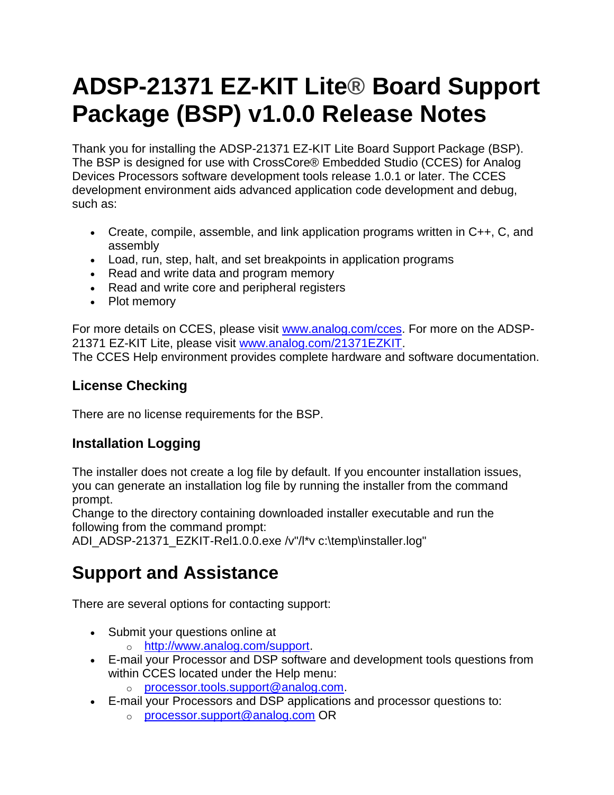# **ADSP-21371 EZ-KIT Lite® Board Support Package (BSP) v1.0.0 Release Notes**

Thank you for installing the ADSP-21371 EZ-KIT Lite Board Support Package (BSP). The BSP is designed for use with CrossCore® Embedded Studio (CCES) for Analog Devices Processors software development tools release 1.0.1 or later. The CCES development environment aids advanced application code development and debug, such as:

- Create, compile, assemble, and link application programs written in C++, C, and assembly
- Load, run, step, halt, and set breakpoints in application programs
- Read and write data and program memory
- Read and write core and peripheral registers
- Plot memory

For more details on CCES, please visit [www.analog.com/cces.](http://www.analog.com/cces) For more on the ADSP-21371 EZ-KIT Lite, please visit [www.analog.com/21371EZKIT.](http://www.analog.com/en/processors-dsp/sharc/adsp-21371/products/21371-EZLITE/eb.html) The CCES Help environment provides complete hardware and software documentation.

#### **License Checking**

There are no license requirements for the BSP.

#### **Installation Logging**

The installer does not create a log file by default. If you encounter installation issues, you can generate an installation log file by running the installer from the command prompt.

Change to the directory containing downloaded installer executable and run the following from the command prompt:

ADI\_ADSP-21371\_EZKIT-Rel1.0.0.exe /v"/l\*v c:\temp\installer.log"

## **Support and Assistance**

There are several options for contacting support:

- Submit your questions online at
	- o [http://www.analog.com/support.](http://www.analog.com/support)
- E-mail your Processor and DSP software and development tools questions from within CCES located under the Help menu:
	- o [processor.tools.support@analog.com.](mailto:processor.tools.support@analog.com)
- E-mail your Processors and DSP applications and processor questions to:
	- o [processor.support@analog.com](mailto:processor.support@analog.com) OR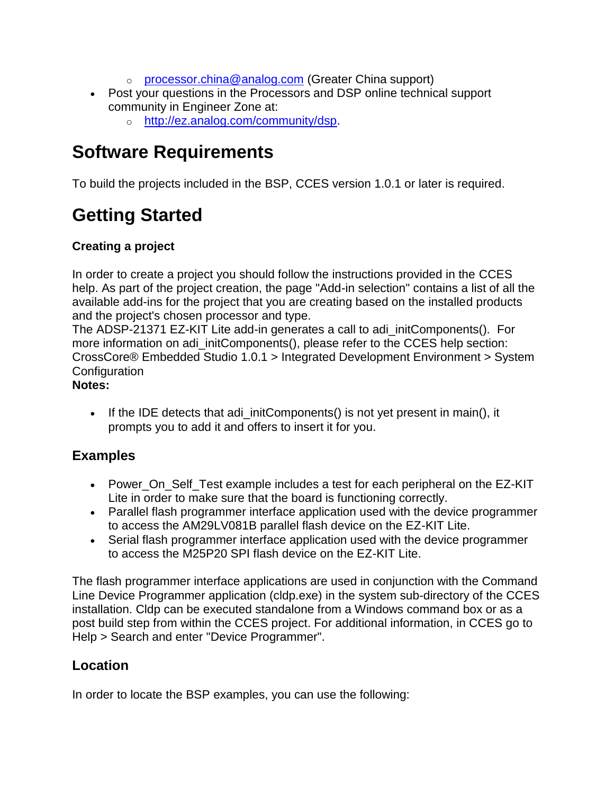- o [processor.china@analog.com](mailto:processor.china@analog.com) (Greater China support)
- Post your questions in the Processors and DSP online technical support community in Engineer Zone at:
	- o [http://ez.analog.com/community/dsp.](http://ez.analog.com/community/dsp)

### **Software Requirements**

To build the projects included in the BSP, CCES version 1.0.1 or later is required.

# **Getting Started**

#### **Creating a project**

In order to create a project you should follow the instructions provided in the CCES help. As part of the project creation, the page "Add-in selection" contains a list of all the available add-ins for the project that you are creating based on the installed products and the project's chosen processor and type.

The ADSP-21371 EZ-KIT Lite add-in generates a call to adi\_initComponents(). For more information on adi\_initComponents(), please refer to the CCES help section: CrossCore® Embedded Studio 1.0.1 > Integrated Development Environment > System **Configuration** 

#### **Notes:**

• If the IDE detects that adi\_initComponents() is not yet present in main(), it prompts you to add it and offers to insert it for you.

#### **Examples**

- Power On Self Test example includes a test for each peripheral on the EZ-KIT Lite in order to make sure that the board is functioning correctly.
- Parallel flash programmer interface application used with the device programmer to access the AM29LV081B parallel flash device on the EZ-KIT Lite.
- Serial flash programmer interface application used with the device programmer to access the M25P20 SPI flash device on the EZ-KIT Lite.

The flash programmer interface applications are used in conjunction with the Command Line Device Programmer application (cldp.exe) in the system sub-directory of the CCES installation. Cldp can be executed standalone from a Windows command box or as a post build step from within the CCES project. For additional information, in CCES go to Help > Search and enter "Device Programmer".

#### **Location**

In order to locate the BSP examples, you can use the following: